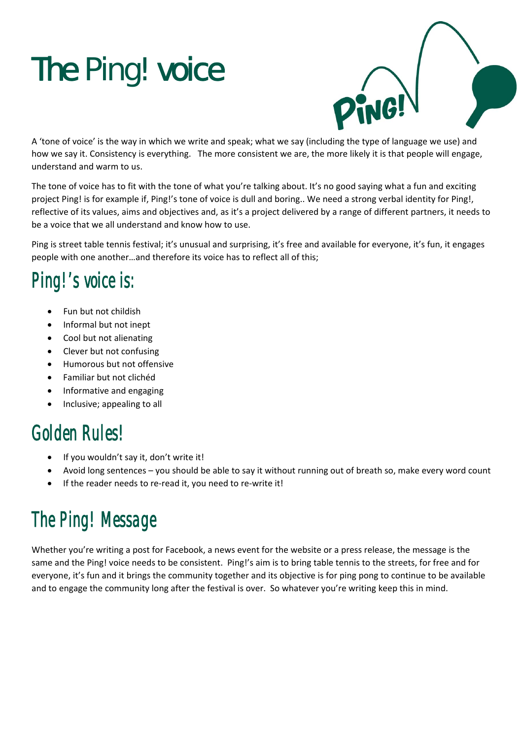# The Ping! voice



A 'tone of voice' is the way in which we write and speak; what we say (including the type of language we use) and how we say it. Consistency is everything. The more consistent we are, the more likely it is that people will engage, understand and warm to us.

The tone of voice has to fit with the tone of what you're talking about. It's no good saying what a fun and exciting project Ping! is for example if, Ping!'s tone of voice is dull and boring.. We need a strong verbal identity for Ping!, reflective of its values, aims and objectives and, as it's a project delivered by a range of different partners, it needs to be a voice that we all understand and know how to use.

Ping is street table tennis festival; it's unusual and surprising, it's free and available for everyone, it's fun, it engages people with one another…and therefore its voice has to reflect all of this;

# Ping!'s voice is:

- Fun but not childish
- Informal but not inept
- Cool but not alienating
- Clever but not confusing
- Humorous but not offensive
- Familiar but not clichéd
- Informative and engaging
- Inclusive; appealing to all

### Golden Rules!

- If you wouldn't say it, don't write it!
- Avoid long sentences you should be able to say it without running out of breath so, make every word count
- If the reader needs to re‐read it, you need to re‐write it!

# The Ping! Message

Whether you're writing a post for Facebook, a news event for the website or a press release, the message is the same and the Ping! voice needs to be consistent. Ping!'s aim is to bring table tennis to the streets, for free and for everyone, it's fun and it brings the community together and its objective is for ping pong to continue to be available and to engage the community long after the festival is over. So whatever you're writing keep this in mind.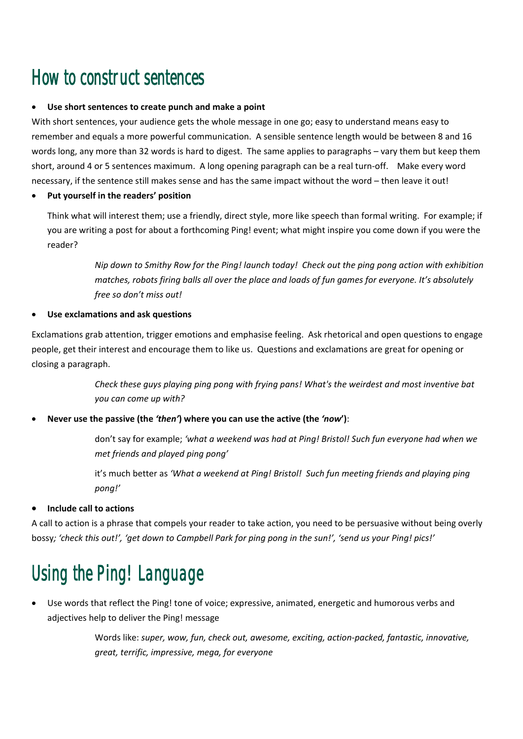### How to construct sentences

#### **Use short sentences to create punch and make a point**

With short sentences, your audience gets the whole message in one go; easy to understand means easy to remember and equals a more powerful communication. A sensible sentence length would be between 8 and 16 words long, any more than 32 words is hard to digest. The same applies to paragraphs – vary them but keep them short, around 4 or 5 sentences maximum. A long opening paragraph can be a real turn-off. Make every word necessary, if the sentence still makes sense and has the same impact without the word – then leave it out!

#### **Put yourself in the readers' position**

Think what will interest them; use a friendly, direct style, more like speech than formal writing. For example; if you are writing a post for about a forthcoming Ping! event; what might inspire you come down if you were the reader?

> Nip down to Smithy Row for the Ping! launch today! Check out the ping pong action with exhibition *matches, robots firing balls all over the place and loads of fun games for everyone. It's absolutely free so don't miss out!*

#### **Use exclamations and ask questions**

Exclamations grab attention, trigger emotions and emphasise feeling. Ask rhetorical and open questions to engage people, get their interest and encourage them to like us. Questions and exclamations are great for opening or closing a paragraph.

> *Check these guys playing ping pong with frying pans! What's the weirdest and most inventive bat you can come up with?*

**Never use the passive (the** *'then'***) where you can use the active (the** *'now***')**:

don't say for example; *'what a weekend was had at Ping! Bristol! Such fun everyone had when we met friends and played ping pong'*

it's much better as *'What a weekend at Ping! Bristol! Such fun meeting friends and playing ping pong!'*

#### **Include call to actions**

A call to action is a phrase that compels your reader to take action, you need to be persuasive without being overly bossy; 'check this out!', 'get down to Campbell Park for ping pong in the sun!', 'send us your Ping! pics!'

# Using the Ping! Language

 Use words that reflect the Ping! tone of voice; expressive, animated, energetic and humorous verbs and adjectives help to deliver the Ping! message

> Words like: *super, wow, fun, check out, awesome, exciting, action‐packed, fantastic, innovative, great, terrific, impressive, mega, for everyone*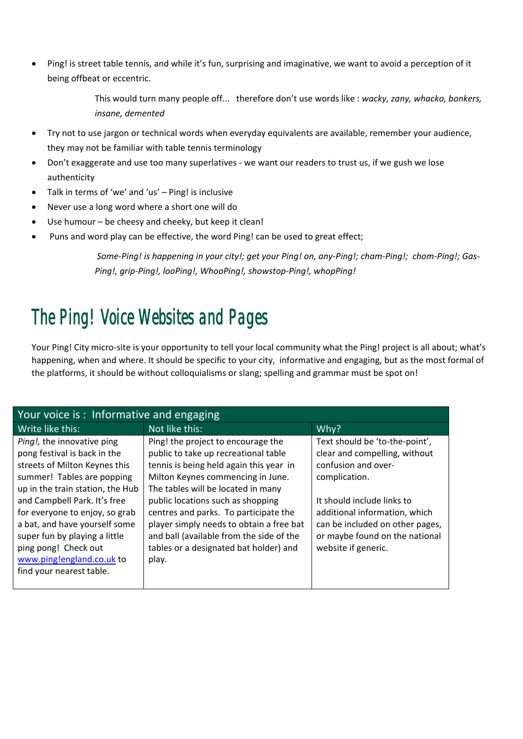Ping! is street table tennis, and while it's fun, surprising and imaginative, we want to avoid a perception of it being offbeat or eccentric.

> This would turn many people off... therefore don't use words like : *wacky, zany, whacko, bonkers, insane, demented*

- Try not to use jargon or technical words when everyday equivalents are available, remember your audience, they may not be familiar with table tennis terminology
- Don't exaggerate and use too many superlatives ‐ we want our readers to trust us, if we gush we lose authenticity
- Talk in terms of 'we' and 'us' Ping! is inclusive
- Never use a long word where a short one will do
- Use humour be cheesy and cheeky, but keep it clean!
- Puns and word play can be effective, the word Ping! can be used to great effect;

Some-Ping! is happening in your city!; get your Ping! on, any-Ping!; cham-Ping!; chom-Ping!; Gas-*Ping!, grip‐Ping!, looPing!, WhooPing!, showstop‐Ping!, whopPing!*

### The Ping! Voice Websites and Pages

Your Ping! City micro-site is your opportunity to tell your local community what the Ping! project is all about; what's happening, when and where. It should be specific to your city, informative and engaging, but as the most formal of the platforms, it should be without colloquialisms or slang; spelling and grammar must be spot on!

| Your voice is: Informative and engaging                                                                                                                                                                                                                                                                                                                                            |                                                                                                                                                                                                                                                                                                                                                                                                                           |                                                                                                                                                                                                                                                                    |  |
|------------------------------------------------------------------------------------------------------------------------------------------------------------------------------------------------------------------------------------------------------------------------------------------------------------------------------------------------------------------------------------|---------------------------------------------------------------------------------------------------------------------------------------------------------------------------------------------------------------------------------------------------------------------------------------------------------------------------------------------------------------------------------------------------------------------------|--------------------------------------------------------------------------------------------------------------------------------------------------------------------------------------------------------------------------------------------------------------------|--|
| Write like this:                                                                                                                                                                                                                                                                                                                                                                   | Not like this:                                                                                                                                                                                                                                                                                                                                                                                                            | Why?                                                                                                                                                                                                                                                               |  |
| Ping!, the innovative ping<br>pong festival is back in the<br>streets of Milton Keynes this<br>summer! Tables are popping<br>up in the train station, the Hub<br>and Campbell Park. It's free<br>for everyone to enjoy, so grab<br>a bat, and have yourself some<br>super fun by playing a little<br>ping pong! Check out<br>www.pinglengland.co.uk to<br>find your nearest table. | Ping! the project to encourage the<br>public to take up recreational table<br>tennis is being held again this year in<br>Milton Keynes commencing in June.<br>The tables will be located in many<br>public locations such as shopping<br>centres and parks. To participate the<br>player simply needs to obtain a free bat<br>and ball (available from the side of the<br>tables or a designated bat holder) and<br>play. | Text should be 'to-the-point',<br>clear and compelling, without<br>confusion and over-<br>complication.<br>It should include links to<br>additional information, which<br>can be included on other pages,<br>or maybe found on the national<br>website if generic. |  |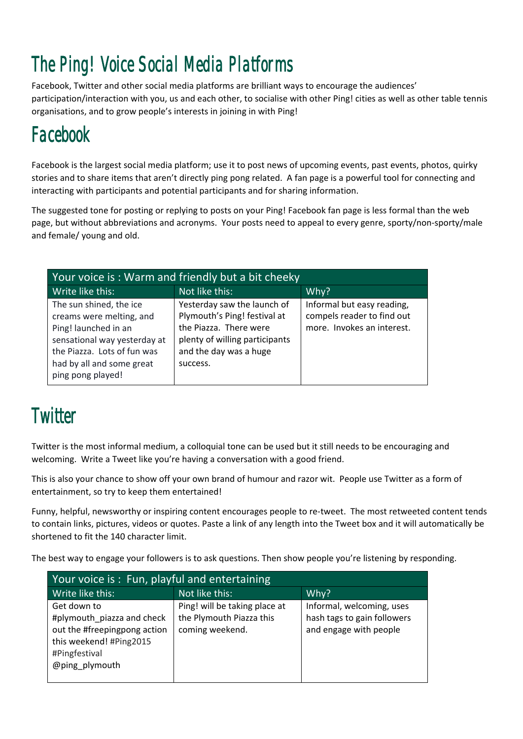# The Ping! Voice Social Media Platforms

Facebook, Twitter and other social media platforms are brilliant ways to encourage the audiences' participation/interaction with you, us and each other, to socialise with other Ping! cities as well as other table tennis organisations, and to grow people's interests in joining in with Ping!

## Facebook

Facebook is the largest social media platform; use it to post news of upcoming events, past events, photos, quirky stories and to share items that aren't directly ping pong related. A fan page is a powerful tool for connecting and interacting with participants and potential participants and for sharing information.

The suggested tone for posting or replying to posts on your Ping! Facebook fan page is less formal than the web page, but without abbreviations and acronyms. Your posts need to appeal to every genre, sporty/non‐sporty/male and female/ young and old.

| Your voice is: Warm and friendly but a bit cheeky                                                                                                                                            |                                                                                                                                                               |                                                                                        |  |  |
|----------------------------------------------------------------------------------------------------------------------------------------------------------------------------------------------|---------------------------------------------------------------------------------------------------------------------------------------------------------------|----------------------------------------------------------------------------------------|--|--|
| Write like this:                                                                                                                                                                             | Not like this:                                                                                                                                                | Why?                                                                                   |  |  |
| The sun shined, the ice<br>creams were melting, and<br>Ping! launched in an<br>sensational way yesterday at<br>the Piazza. Lots of fun was<br>had by all and some great<br>ping pong played! | Yesterday saw the launch of<br>Plymouth's Ping! festival at<br>the Piazza. There were<br>plenty of willing participants<br>and the day was a huge<br>success. | Informal but easy reading,<br>compels reader to find out<br>more. Invokes an interest. |  |  |

## **Twitter**

Twitter is the most informal medium, a colloquial tone can be used but it still needs to be encouraging and welcoming. Write a Tweet like you're having a conversation with a good friend.

This is also your chance to show off your own brand of humour and razor wit. People use Twitter as a form of entertainment, so try to keep them entertained!

Funny, helpful, newsworthy or inspiring content encourages people to re-tweet. The most retweeted content tends to contain links, pictures, videos or quotes. Paste a link of any length into the Tweet box and it will automatically be shortened to fit the 140 character limit.

The best way to engage your followers is to ask questions. Then show people you're listening by responding.

| Your voice is: Fun, playful and entertaining                                                                                            |                                                                              |                                                                                    |  |  |
|-----------------------------------------------------------------------------------------------------------------------------------------|------------------------------------------------------------------------------|------------------------------------------------------------------------------------|--|--|
| Write like this:                                                                                                                        | Not like this:                                                               | Why?                                                                               |  |  |
| Get down to<br>#plymouth_piazza and check<br>out the #freepingpong action<br>this weekend! #Ping2015<br>#Pingfestival<br>@ping plymouth | Ping! will be taking place at<br>the Plymouth Piazza this<br>coming weekend. | Informal, welcoming, uses<br>hash tags to gain followers<br>and engage with people |  |  |